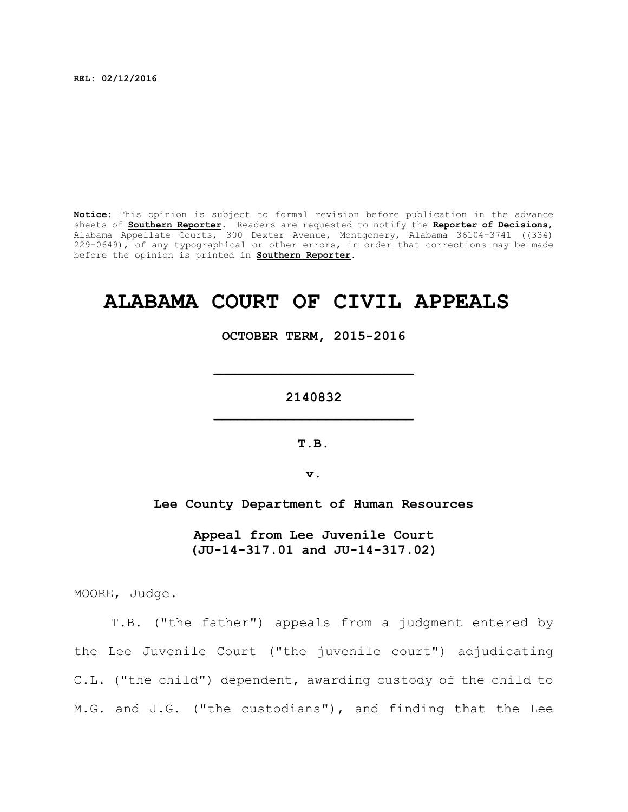**REL: 02/12/2016**

**Notice:** This opinion is subject to formal revision before publication in the advance sheets of **Southern Reporter**. Readers are requested to notify the **Reporter of Decisions**, Alabama Appellate Courts, 300 Dexter Avenue, Montgomery, Alabama 36104-3741 ((334) 229-0649), of any typographical or other errors, in order that corrections may be made before the opinion is printed in **Southern Reporter**.

# **ALABAMA COURT OF CIVIL APPEALS**

**OCTOBER TERM, 2015-2016**

**2140832 \_\_\_\_\_\_\_\_\_\_\_\_\_\_\_\_\_\_\_\_\_\_\_\_\_**

**\_\_\_\_\_\_\_\_\_\_\_\_\_\_\_\_\_\_\_\_\_\_\_\_\_**

**T.B.**

**v.**

**Lee County Department of Human Resources**

**Appeal from Lee Juvenile Court (JU-14-317.01 and JU-14-317.02)**

MOORE, Judge.

T.B. ("the father") appeals from a judgment entered by the Lee Juvenile Court ("the juvenile court") adjudicating C.L. ("the child") dependent, awarding custody of the child to M.G. and J.G. ("the custodians"), and finding that the Lee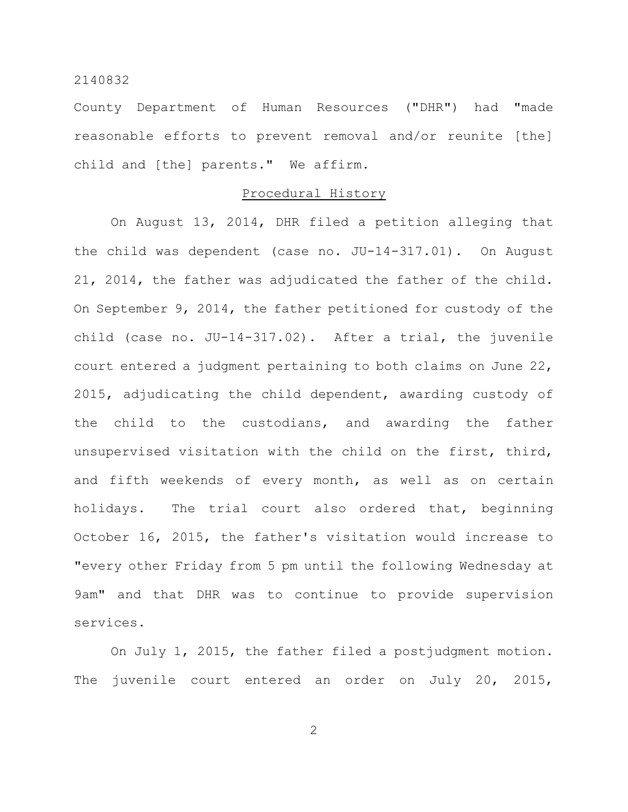County Department of Human Resources ("DHR") had "made reasonable efforts to prevent removal and/or reunite [the] child and [the] parents." We affirm.

## Procedural History

On August 13, 2014, DHR filed a petition alleging that the child was dependent (case no. JU-14-317.01). On August 21, 2014, the father was adjudicated the father of the child. On September 9, 2014, the father petitioned for custody of the child (case no. JU-14-317.02). After a trial, the juvenile court entered a judgment pertaining to both claims on June 22, 2015, adjudicating the child dependent, awarding custody of the child to the custodians, and awarding the father unsupervised visitation with the child on the first, third, and fifth weekends of every month, as well as on certain holidays. The trial court also ordered that, beginning October 16, 2015, the father's visitation would increase to "every other Friday from 5 pm until the following Wednesday at 9am" and that DHR was to continue to provide supervision services.

On July 1, 2015, the father filed a postjudgment motion. The juvenile court entered an order on July 20, 2015,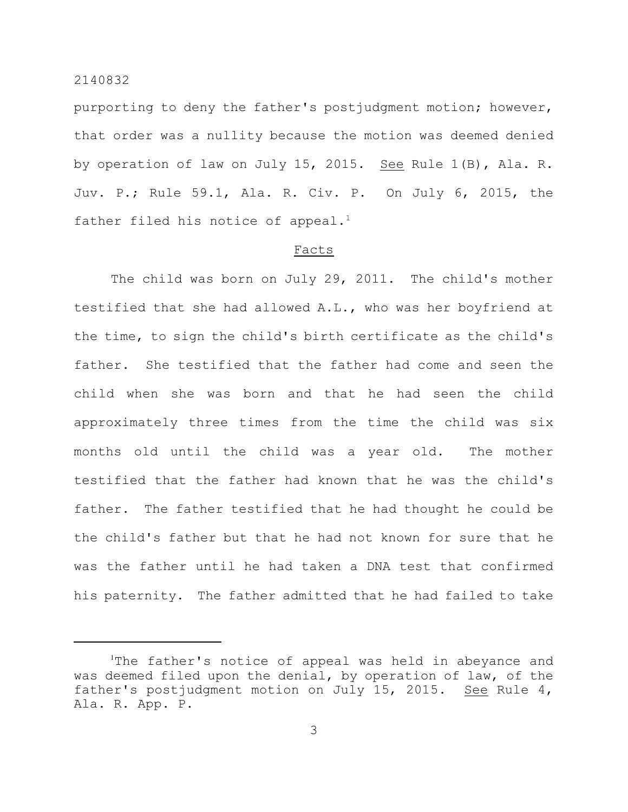purporting to deny the father's postjudgment motion; however, that order was a nullity because the motion was deemed denied by operation of law on July 15, 2015. See Rule 1(B), Ala. R. Juv. P.; Rule 59.1, Ala. R. Civ. P. On July 6, 2015, the father filed his notice of appeal.<sup>1</sup>

## Facts

The child was born on July 29, 2011. The child's mother testified that she had allowed A.L., who was her boyfriend at the time, to sign the child's birth certificate as the child's father. She testified that the father had come and seen the child when she was born and that he had seen the child approximately three times from the time the child was six months old until the child was a year old. The mother testified that the father had known that he was the child's father. The father testified that he had thought he could be the child's father but that he had not known for sure that he was the father until he had taken a DNA test that confirmed his paternity. The father admitted that he had failed to take

The father's notice of appeal was held in abeyance and was deemed filed upon the denial, by operation of law, of the father's postjudgment motion on July 15, 2015. See Rule 4, Ala. R. App. P.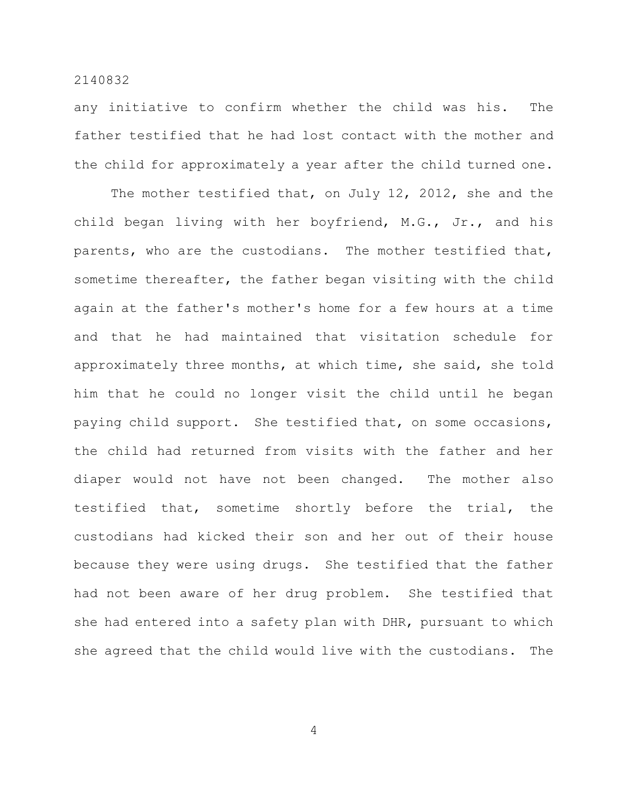any initiative to confirm whether the child was his. The father testified that he had lost contact with the mother and the child for approximately a year after the child turned one.

The mother testified that, on July 12, 2012, she and the child began living with her boyfriend, M.G., Jr., and his parents, who are the custodians. The mother testified that, sometime thereafter, the father began visiting with the child again at the father's mother's home for a few hours at a time and that he had maintained that visitation schedule for approximately three months, at which time, she said, she told him that he could no longer visit the child until he began paying child support. She testified that, on some occasions, the child had returned from visits with the father and her diaper would not have not been changed. The mother also testified that, sometime shortly before the trial, the custodians had kicked their son and her out of their house because they were using drugs. She testified that the father had not been aware of her drug problem. She testified that she had entered into a safety plan with DHR, pursuant to which she agreed that the child would live with the custodians. The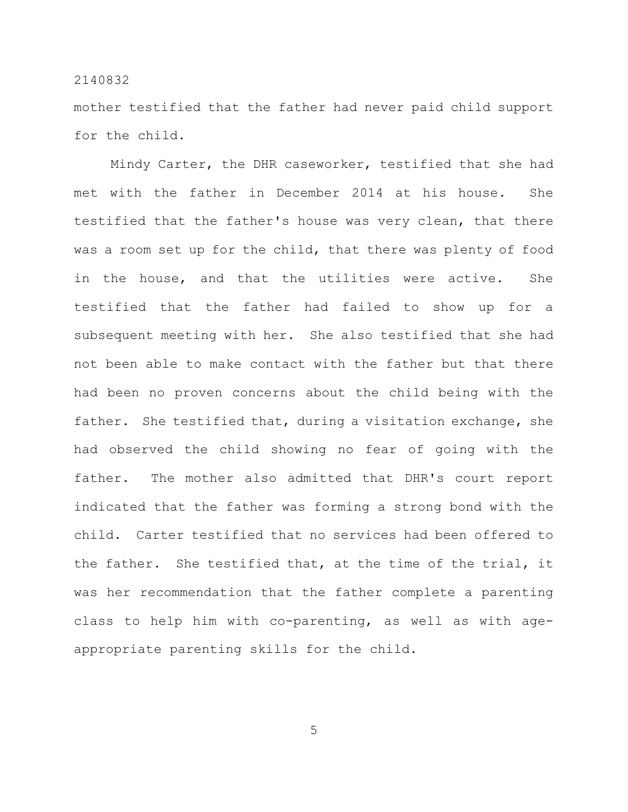mother testified that the father had never paid child support for the child.

Mindy Carter, the DHR caseworker, testified that she had met with the father in December 2014 at his house. She testified that the father's house was very clean, that there was a room set up for the child, that there was plenty of food in the house, and that the utilities were active. She testified that the father had failed to show up for a subsequent meeting with her. She also testified that she had not been able to make contact with the father but that there had been no proven concerns about the child being with the father. She testified that, during a visitation exchange, she had observed the child showing no fear of going with the father. The mother also admitted that DHR's court report indicated that the father was forming a strong bond with the child. Carter testified that no services had been offered to the father. She testified that, at the time of the trial, it was her recommendation that the father complete a parenting class to help him with co-parenting, as well as with ageappropriate parenting skills for the child.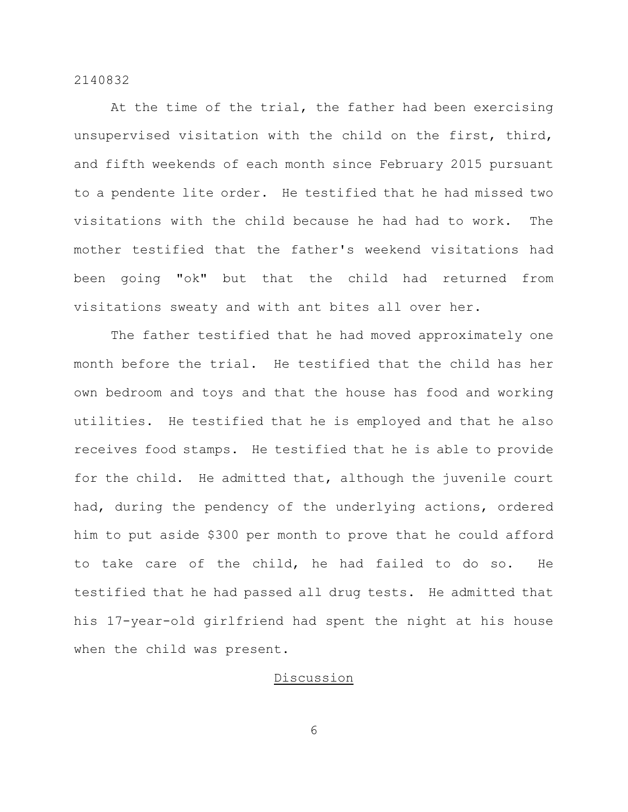At the time of the trial, the father had been exercising unsupervised visitation with the child on the first, third, and fifth weekends of each month since February 2015 pursuant to a pendente lite order. He testified that he had missed two visitations with the child because he had had to work. The mother testified that the father's weekend visitations had been going "ok" but that the child had returned from visitations sweaty and with ant bites all over her.

The father testified that he had moved approximately one month before the trial. He testified that the child has her own bedroom and toys and that the house has food and working utilities. He testified that he is employed and that he also receives food stamps. He testified that he is able to provide for the child. He admitted that, although the juvenile court had, during the pendency of the underlying actions, ordered him to put aside \$300 per month to prove that he could afford to take care of the child, he had failed to do so. He testified that he had passed all drug tests. He admitted that his 17-year-old girlfriend had spent the night at his house when the child was present.

## Discussion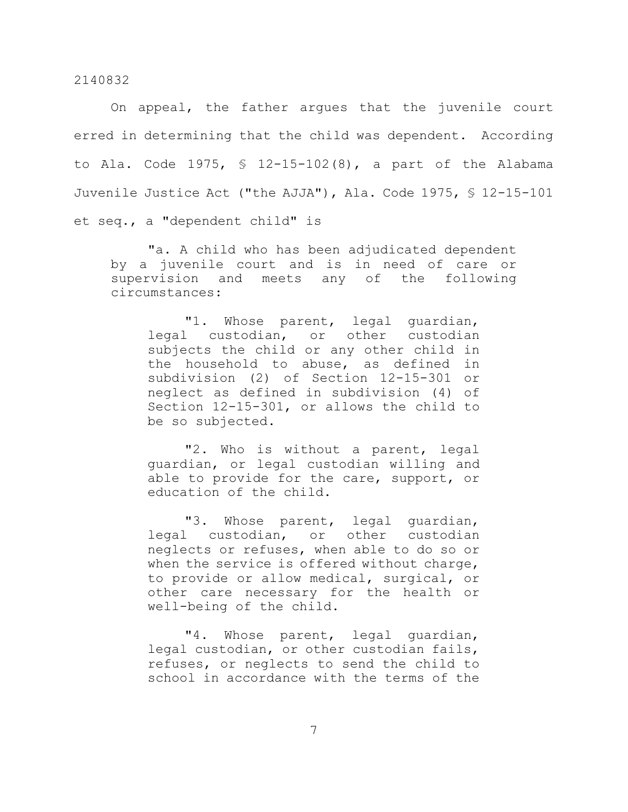On appeal, the father argues that the juvenile court erred in determining that the child was dependent. According to Ala. Code 1975, § 12-15-102(8), a part of the Alabama Juvenile Justice Act ("the AJJA"), Ala. Code 1975, § 12-15-101 et seq., a "dependent child" is

"a. A child who has been adjudicated dependent by a juvenile court and is in need of care or supervision and meets any of the following circumstances:

"1. Whose parent, legal guardian, legal custodian, or other custodian subjects the child or any other child in the household to abuse, as defined in subdivision (2) of Section 12-15-301 or neglect as defined in subdivision (4) of Section 12-15-301, or allows the child to be so subjected.

"2. Who is without a parent, legal guardian, or legal custodian willing and able to provide for the care, support, or education of the child.

"3. Whose parent, legal guardian, legal custodian, or other custodian neglects or refuses, when able to do so or when the service is offered without charge, to provide or allow medical, surgical, or other care necessary for the health or well-being of the child.

"4. Whose parent, legal guardian, legal custodian, or other custodian fails, refuses, or neglects to send the child to school in accordance with the terms of the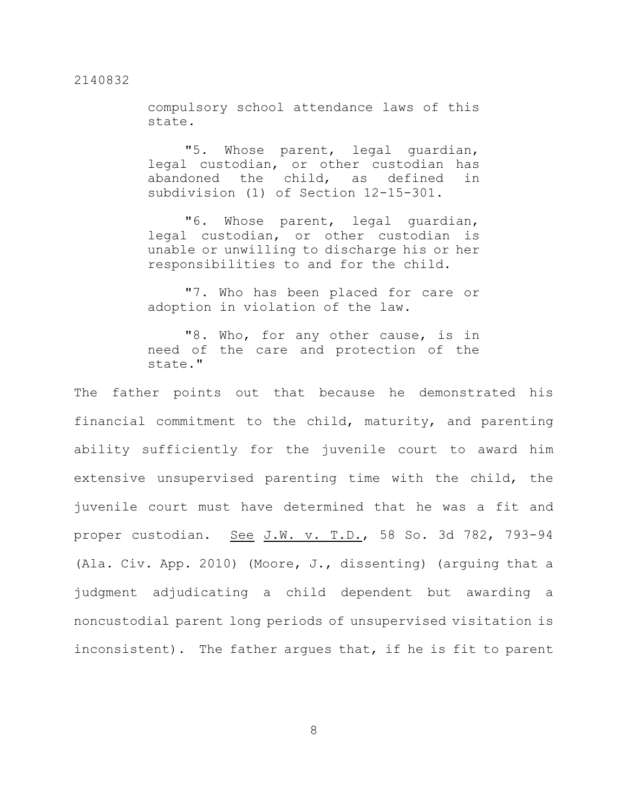compulsory school attendance laws of this state.

"5. Whose parent, legal guardian, legal custodian, or other custodian has abandoned the child, as defined in subdivision (1) of Section 12-15-301.

"6. Whose parent, legal guardian, legal custodian, or other custodian is unable or unwilling to discharge his or her responsibilities to and for the child.

"7. Who has been placed for care or adoption in violation of the law.

"8. Who, for any other cause, is in need of the care and protection of the state."

The father points out that because he demonstrated his financial commitment to the child, maturity, and parenting ability sufficiently for the juvenile court to award him extensive unsupervised parenting time with the child, the juvenile court must have determined that he was a fit and proper custodian. See J.W. v. T.D., 58 So. 3d 782, 793-94 (Ala. Civ. App. 2010) (Moore, J., dissenting) (arguing that a judgment adjudicating a child dependent but awarding a noncustodial parent long periods of unsupervised visitation is inconsistent). The father argues that, if he is fit to parent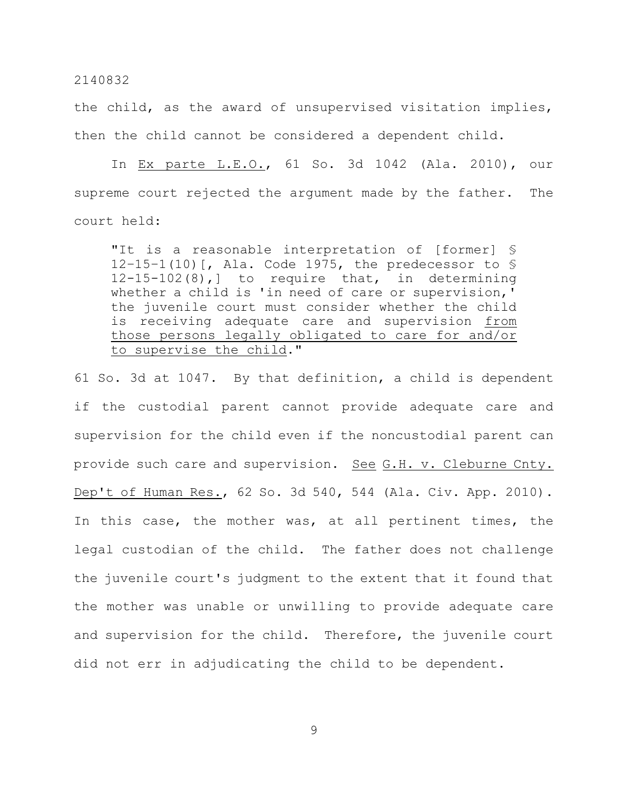the child, as the award of unsupervised visitation implies, then the child cannot be considered a dependent child.

In Ex parte L.E.O., 61 So. 3d 1042 (Ala. 2010), our supreme court rejected the argument made by the father. The court held:

"It is a reasonable interpretation of [former] § 12–15–1(10)[, Ala. Code 1975, the predecessor to § 12-15-102(8),] to require that, in determining whether a child is 'in need of care or supervision,' the juvenile court must consider whether the child is receiving adequate care and supervision from those persons legally obligated to care for and/or to supervise the child."

61 So. 3d at 1047. By that definition, a child is dependent if the custodial parent cannot provide adequate care and supervision for the child even if the noncustodial parent can provide such care and supervision. See G.H. v. Cleburne Cnty. Dep't of Human Res., 62 So. 3d 540, 544 (Ala. Civ. App. 2010). In this case, the mother was, at all pertinent times, the legal custodian of the child. The father does not challenge the juvenile court's judgment to the extent that it found that the mother was unable or unwilling to provide adequate care and supervision for the child. Therefore, the juvenile court did not err in adjudicating the child to be dependent.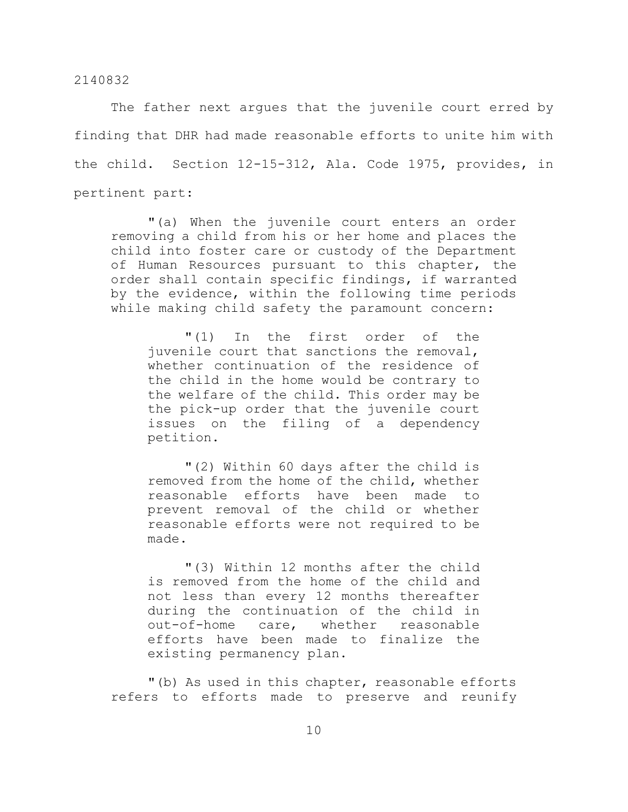The father next argues that the juvenile court erred by finding that DHR had made reasonable efforts to unite him with the child. Section 12-15-312, Ala. Code 1975, provides, in pertinent part:

"(a) When the juvenile court enters an order removing a child from his or her home and places the child into foster care or custody of the Department of Human Resources pursuant to this chapter, the order shall contain specific findings, if warranted by the evidence, within the following time periods while making child safety the paramount concern:

"(1) In the first order of the juvenile court that sanctions the removal, whether continuation of the residence of the child in the home would be contrary to the welfare of the child. This order may be the pick-up order that the juvenile court issues on the filing of a dependency petition.

"(2) Within 60 days after the child is removed from the home of the child, whether reasonable efforts have been made to prevent removal of the child or whether reasonable efforts were not required to be made.

"(3) Within 12 months after the child is removed from the home of the child and not less than every 12 months thereafter during the continuation of the child in out-of-home care, whether reasonable efforts have been made to finalize the existing permanency plan.

"(b) As used in this chapter, reasonable efforts refers to efforts made to preserve and reunify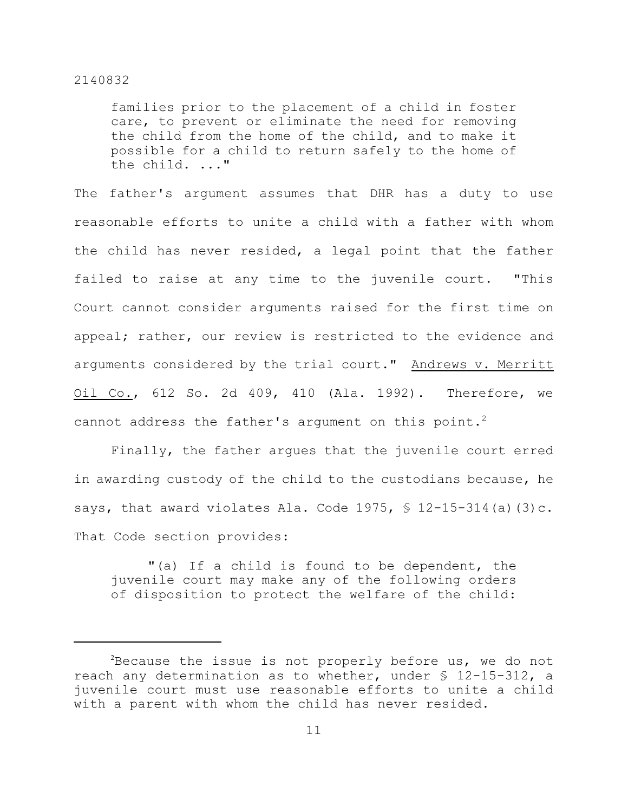families prior to the placement of a child in foster care, to prevent or eliminate the need for removing the child from the home of the child, and to make it possible for a child to return safely to the home of the child. ..."

The father's argument assumes that DHR has a duty to use reasonable efforts to unite a child with a father with whom the child has never resided, a legal point that the father failed to raise at any time to the juvenile court. "This Court cannot consider arguments raised for the first time on appeal; rather, our review is restricted to the evidence and arguments considered by the trial court." Andrews v. Merritt Oil Co., 612 So. 2d 409, 410 (Ala. 1992). Therefore, we cannot address the father's argument on this point.<sup>2</sup>

Finally, the father argues that the juvenile court erred in awarding custody of the child to the custodians because, he says, that award violates Ala. Code 1975,  $\frac{1}{5}$  12-15-314(a)(3)c. That Code section provides:

"(a) If a child is found to be dependent, the juvenile court may make any of the following orders of disposition to protect the welfare of the child:

 $2$ Because the issue is not properly before us, we do not reach any determination as to whether, under § 12-15-312, a juvenile court must use reasonable efforts to unite a child with a parent with whom the child has never resided.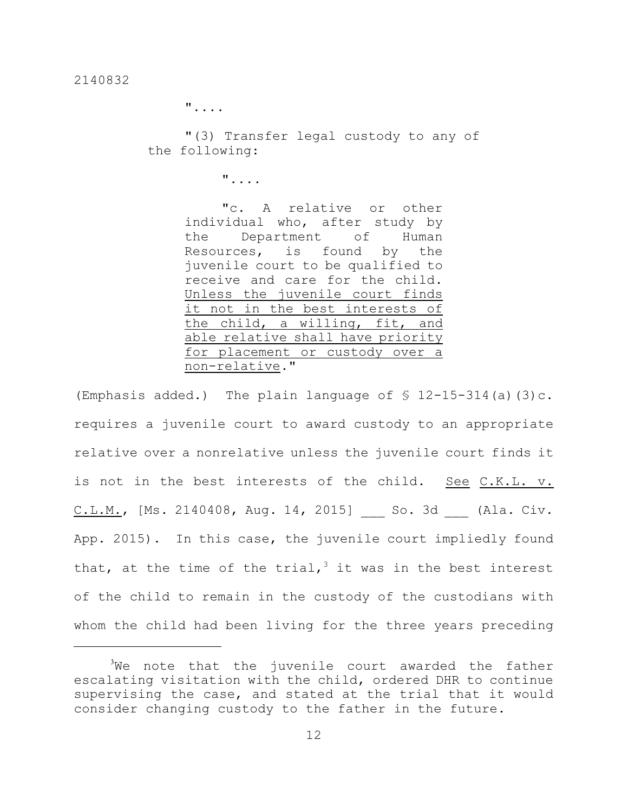"....

"(3) Transfer legal custody to any of the following:

"....

"c. A relative or other individual who, after study by the Department of Human Resources, is found by the juvenile court to be qualified to receive and care for the child. Unless the juvenile court finds it not in the best interests of the child, a willing, fit, and able relative shall have priority for placement or custody over a non-relative."

(Emphasis added.) The plain language of  $\frac{1}{2}$  12-15-314(a)(3)c. requires a juvenile court to award custody to an appropriate relative over a nonrelative unless the juvenile court finds it is not in the best interests of the child. See C.K.L. v. C.L.M., [Ms. 2140408, Aug. 14, 2015] \_\_\_ So. 3d \_\_\_ (Ala. Civ. App. 2015). In this case, the juvenile court impliedly found that, at the time of the trial,<sup>3</sup> it was in the best interest of the child to remain in the custody of the custodians with whom the child had been living for the three years preceding

 $3$ We note that the juvenile court awarded the father escalating visitation with the child, ordered DHR to continue supervising the case, and stated at the trial that it would consider changing custody to the father in the future.